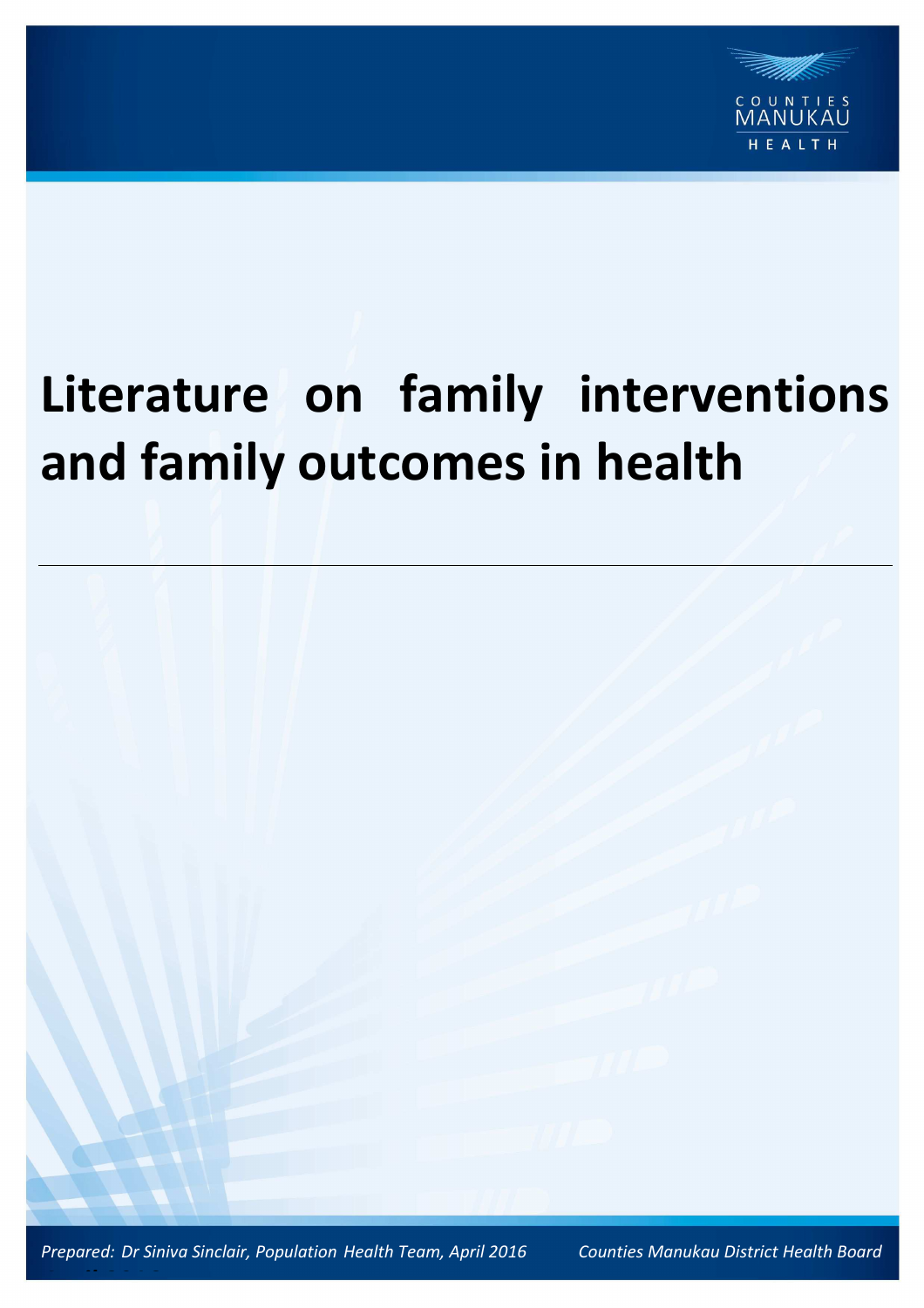

# **Literature on family interventions and family outcomes in health**



*Prepared: Dr Siniva Sinclair, Population Health Team, April 2016 Counties Manukau District Health Board* 

*April 2016*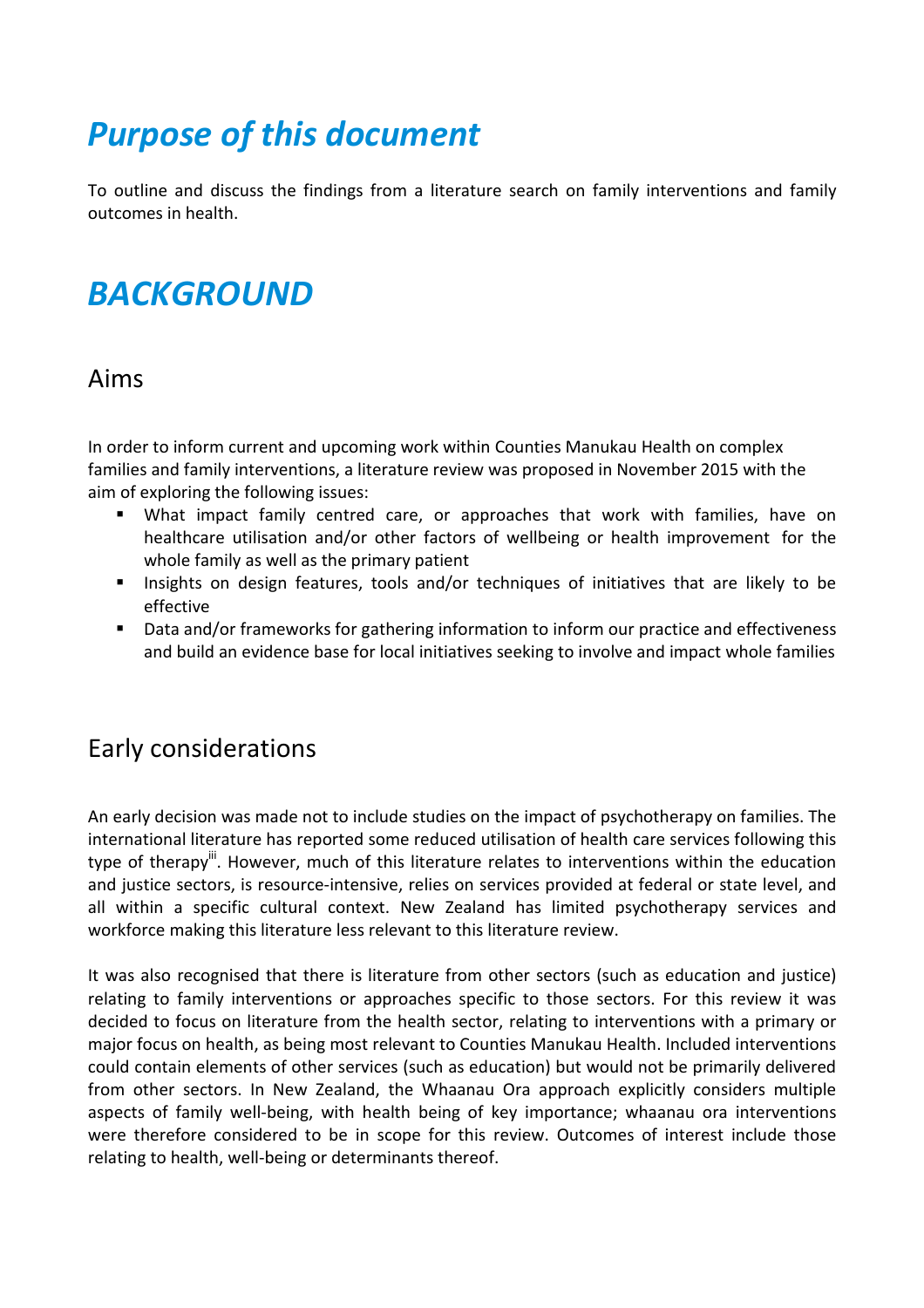# *Purpose of this document*

To outline and discuss the findings from a literature search on family interventions and family outcomes in health.

# **BACKGROUND**

#### Aims

In order to inform current and upcoming work within Counties Manukau Health on complex families and family interventions, a literature review was proposed in November 2015 with the aim of exploring the following issues:

- What impact family centred care, or approaches that work with families, have on healthcare utilisation and/or other factors of wellbeing or health improvement for the whole family as well as the primary patient
- Insights on design features, tools and/or techniques of initiatives that are likely to be effective
- Data and/or frameworks for gathering information to inform our practice and effectiveness and build an evidence base for local initiatives seeking to involve and impact whole families

#### Early considerations

An early decision was made not to include studies on the impact of psychotherapy on families. The international literature has reported some reduced utilisation of health care services following this type of therapy<sup>ii</sup>. However, much of this literature relates to interventions within the education and justice sectors, is resource-intensive, relies on services provided at federal or state level, and all within a specific cultural context. New Zealand has limited psychotherapy services and workforce making this literature less relevant to this literature review.

It was also recognised that there is literature from other sectors (such as education and justice) relating to family interventions or approaches specific to those sectors. For this review it was decided to focus on literature from the health sector, relating to interventions with a primary or major focus on health, as being most relevant to Counties Manukau Health. Included interventions could contain elements of other services (such as education) but would not be primarily delivered from other sectors. In New Zealand, the Whaanau Ora approach explicitly considers multiple aspects of family well-being, with health being of key importance; whaanau ora interventions were therefore considered to be in scope for this review. Outcomes of interest include those relating to health, well-being or determinants thereof.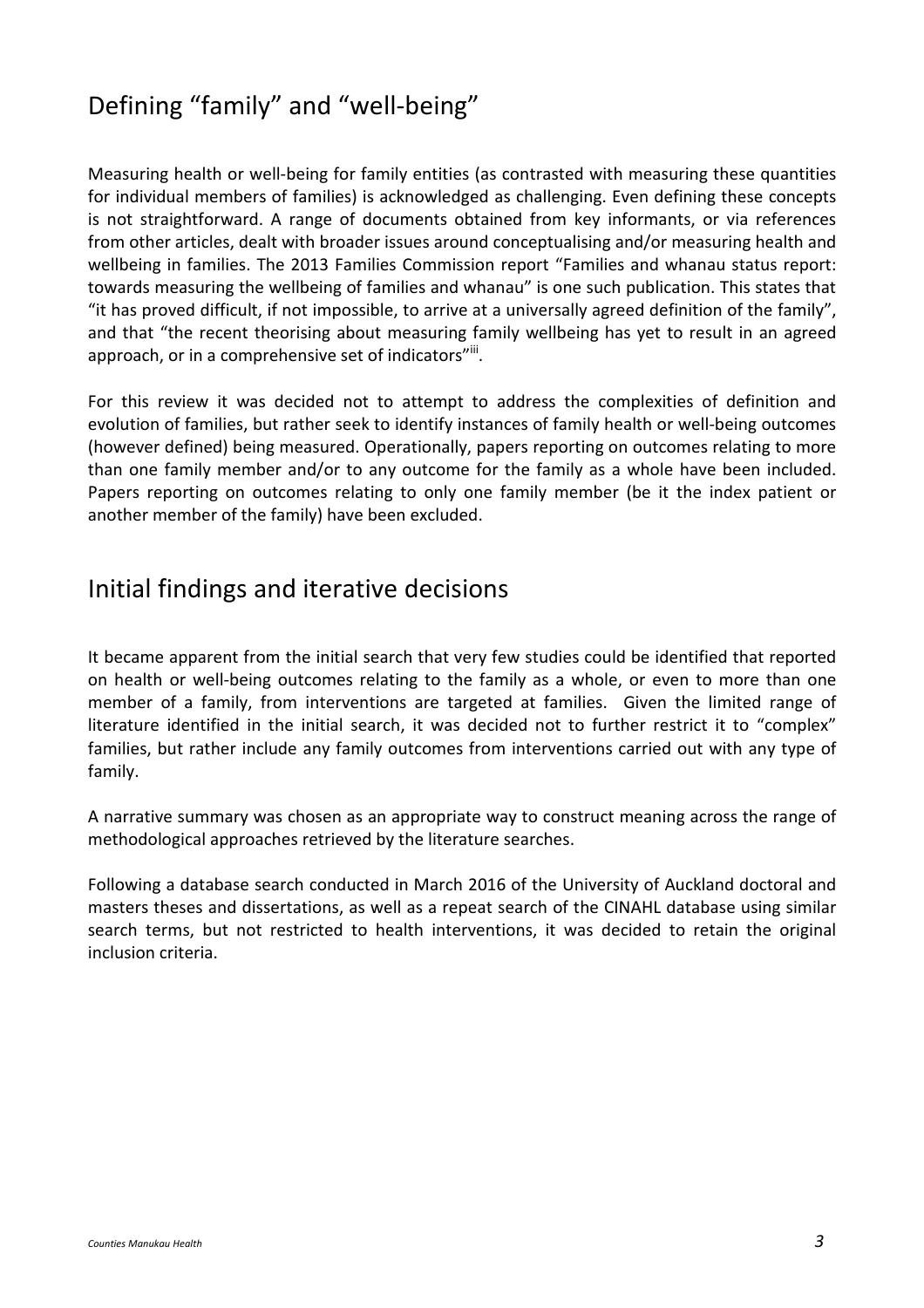#### Defining "family" and "well-being"

Measuring health or well-being for family entities (as contrasted with measuring these quantities for individual members of families) is acknowledged as challenging. Even defining these concepts is not straightforward. A range of documents obtained from key informants, or via references from other articles, dealt with broader issues around conceptualising and/or measuring health and wellbeing in families. The 2013 Families Commission report "Families and whanau status report: towards measuring the wellbeing of families and whanau" is one such publication. This states that "it has proved difficult, if not impossible, to arrive at a universally agreed definition of the family", and that "the recent theorising about measuring family wellbeing has yet to result in an agreed approach, or in a comprehensive set of indicators"<sup>iii</sup>.

For this review it was decided not to attempt to address the complexities of definition and evolution of families, but rather seek to identify instances of family health or well-being outcomes (however defined) being measured. Operationally, papers reporting on outcomes relating to more than one family member and/or to any outcome for the family as a whole have been included. Papers reporting on outcomes relating to only one family member (be it the index patient or another member of the family) have been excluded.

#### Initial findings and iterative decisions

It became apparent from the initial search that very few studies could be identified that reported on health or well-being outcomes relating to the family as a whole, or even to more than one member of a family, from interventions are targeted at families. Given the limited range of literature identified in the initial search, it was decided not to further restrict it to "complex" families, but rather include any family outcomes from interventions carried out with any type of family.

A narrative summary was chosen as an appropriate way to construct meaning across the range of methodological approaches retrieved by the literature searches.

Following a database search conducted in March 2016 of the University of Auckland doctoral and masters theses and dissertations, as well as a repeat search of the CINAHL database using similar search terms, but not restricted to health interventions, it was decided to retain the original inclusion criteria.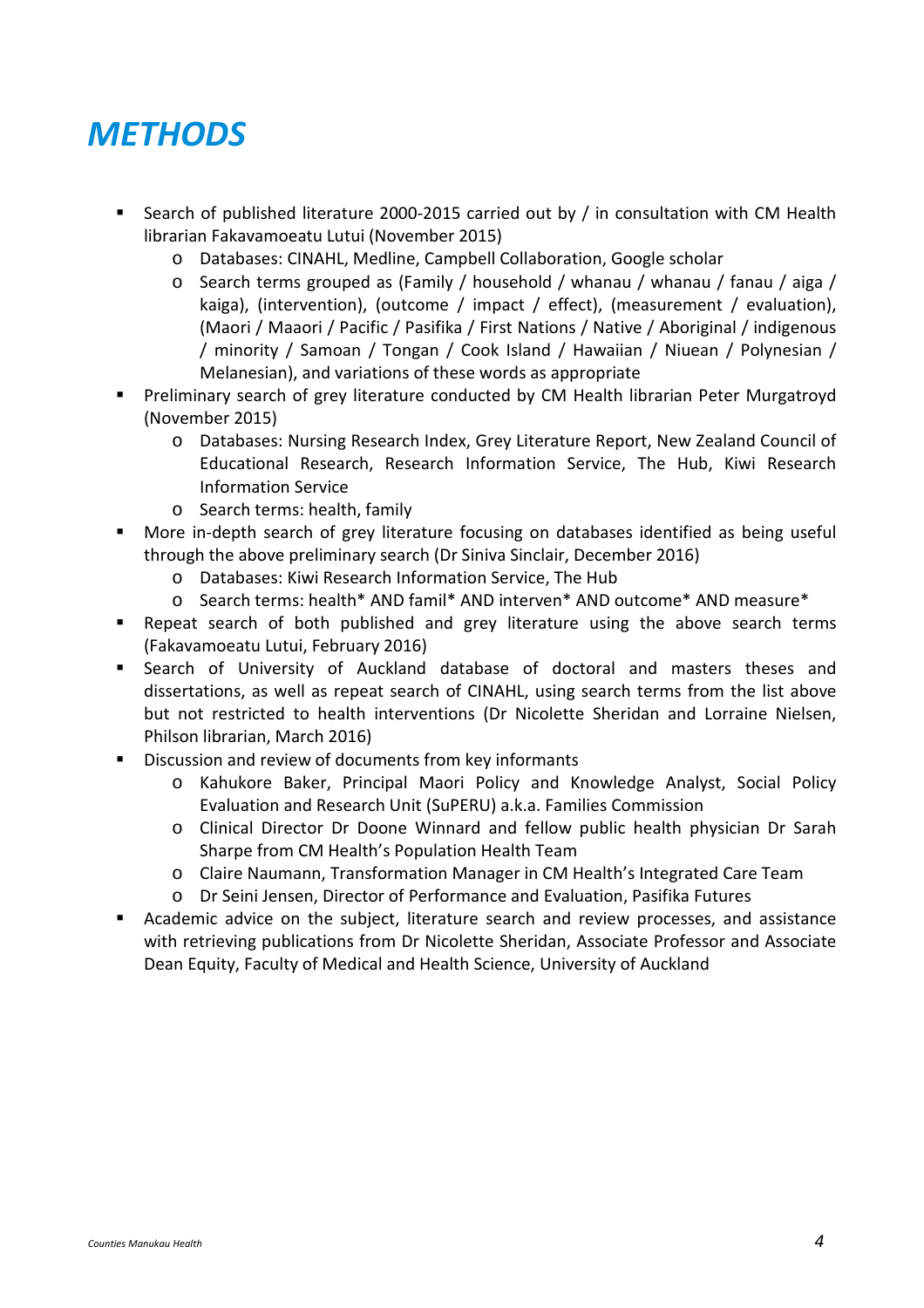### *METHODS*

- Search of published literature 2000-2015 carried out by / in consultation with CM Health librarian Fakavamoeatu Lutui (November 2015)
	- o Databases: CINAHL, Medline, Campbell Collaboration, Google scholar
	- o Search terms grouped as (Family / household / whanau / whanau / fanau / aiga / kaiga), (intervention), (outcome / impact / effect), (measurement / evaluation), (Maori / Maaori / Pacific / Pasifika / First Nations / Native / Aboriginal / indigenous / minority / Samoan / Tongan / Cook Island / Hawaiian / Niuean / Polynesian / Melanesian), and variations of these words as appropriate
- **Preliminary search of grey literature conducted by CM Health librarian Peter Murgatroyd** (November 2015)
	- o Databases: Nursing Research Index, Grey Literature Report, New Zealand Council of Educational Research, Research Information Service, The Hub, Kiwi Research Information Service
	- o Search terms: health, family
- More in-depth search of grey literature focusing on databases identified as being useful through the above preliminary search (Dr Siniva Sinclair, December 2016)
	- o Databases: Kiwi Research Information Service, The Hub
	- o Search terms: health\* AND famil\* AND interven\* AND outcome\* AND measure\*
- Repeat search of both published and grey literature using the above search terms (Fakavamoeatu Lutui, February 2016)
- Search of University of Auckland database of doctoral and masters theses and dissertations, as well as repeat search of CINAHL, using search terms from the list above but not restricted to health interventions (Dr Nicolette Sheridan and Lorraine Nielsen, Philson librarian, March 2016)
- Discussion and review of documents from key informants
	- o Kahukore Baker, Principal Maori Policy and Knowledge Analyst, Social Policy Evaluation and Research Unit (SuPERU) a.k.a. Families Commission
	- o Clinical Director Dr Doone Winnard and fellow public health physician Dr Sarah Sharpe from CM Health's Population Health Team
	- o Claire Naumann, Transformation Manager in CM Health's Integrated Care Team
	- o Dr Seini Jensen, Director of Performance and Evaluation, Pasifika Futures
- Academic advice on the subject, literature search and review processes, and assistance with retrieving publications from Dr Nicolette Sheridan, Associate Professor and Associate Dean Equity, Faculty of Medical and Health Science, University of Auckland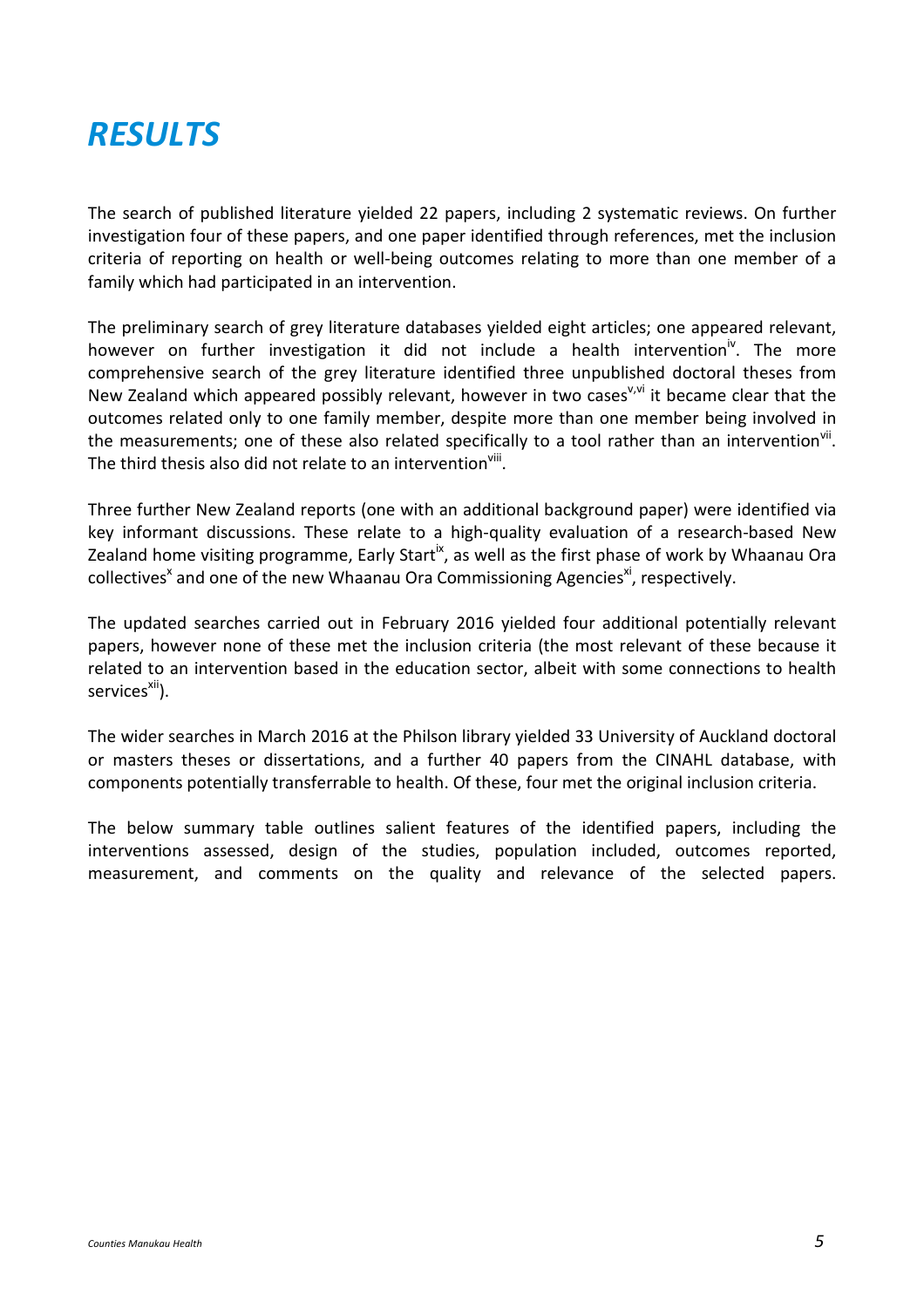

The search of published literature yielded 22 papers, including 2 systematic reviews. On further investigation four of these papers, and one paper identified through references, met the inclusion criteria of reporting on health or well-being outcomes relating to more than one member of a family which had participated in an intervention.

The preliminary search of grey literature databases yielded eight articles; one appeared relevant, however on further investigation it did not include a health intervention<sup>iv</sup>. The more comprehensive search of the grey literature identified three unpublished doctoral theses from New Zealand which appeared possibly relevant, however in two cases<sup> $v,v$ </sup> it became clear that the outcomes related only to one family member, despite more than one member being involved in the measurements; one of these also related specifically to a tool rather than an intervention $^{\text{vii}}$ . The third thesis also did not relate to an intervention $\stackrel{\text{viii}}{ }$ .

Three further New Zealand reports (one with an additional background paper) were identified via key informant discussions. These relate to a high-quality evaluation of a research-based New Zealand home visiting programme, Early Start<sup>ix</sup>, as well as the first phase of work by Whaanau Ora collectives<sup>x</sup> and one of the new Whaanau Ora Commissioning Agencies<sup>xi</sup>, respectively.

The updated searches carried out in February 2016 yielded four additional potentially relevant papers, however none of these met the inclusion criteria (the most relevant of these because it related to an intervention based in the education sector, albeit with some connections to health services<sup>xii</sup>).

The wider searches in March 2016 at the Philson library yielded 33 University of Auckland doctoral or masters theses or dissertations, and a further 40 papers from the CINAHL database, with components potentially transferrable to health. Of these, four met the original inclusion criteria.

The below summary table outlines salient features of the identified papers, including the interventions assessed, design of the studies, population included, outcomes reported, measurement, and comments on the quality and relevance of the selected papers.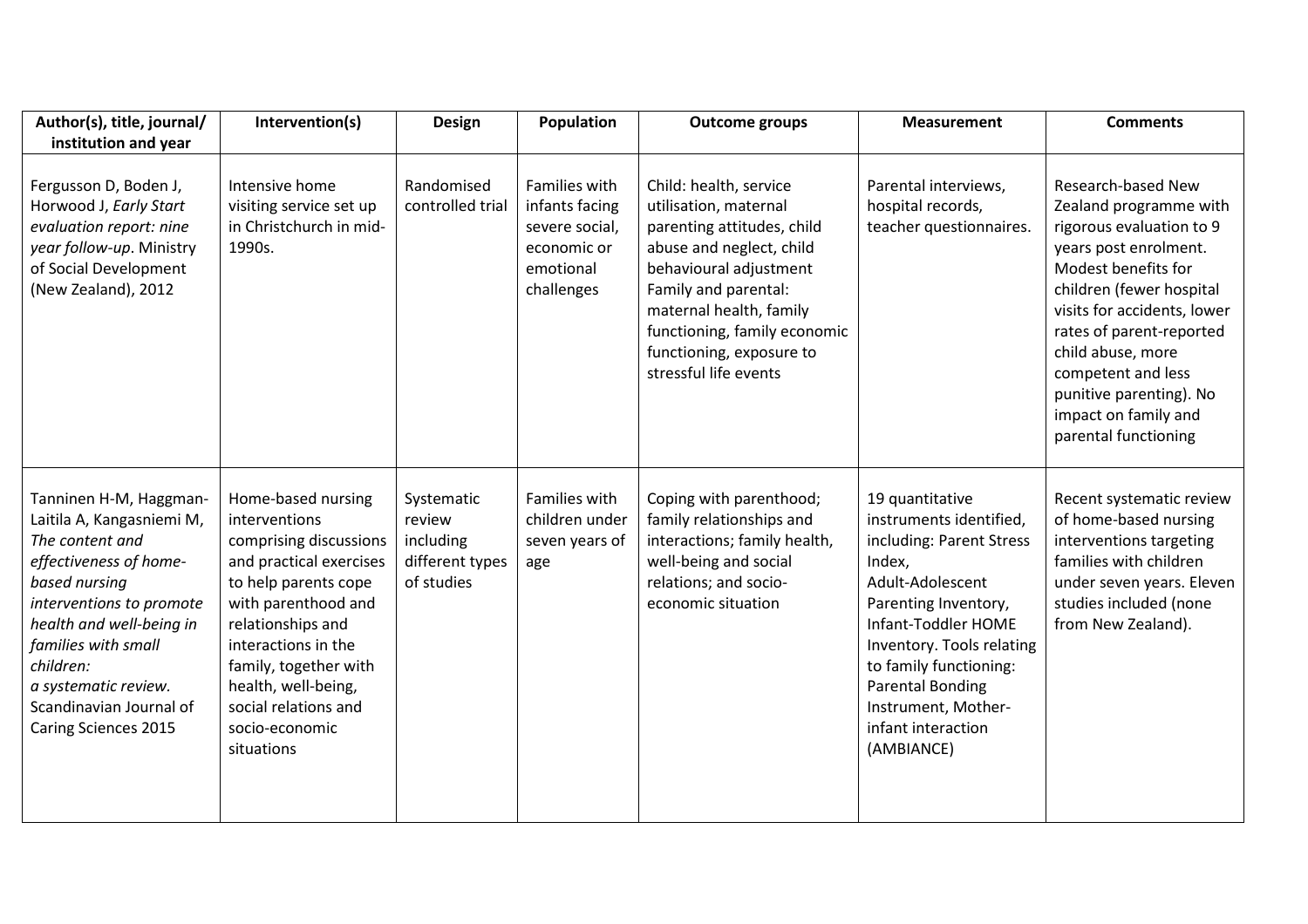| Author(s), title, journal/<br>institution and year                                                                                                                                                                                                                                       | Intervention(s)                                                                                                                                                                                                                                                                             | <b>Design</b>                                                      | Population                                                                                  | <b>Outcome groups</b>                                                                                                                                                                                                                                                       | <b>Measurement</b>                                                                                                                                                                                                                                                                               | <b>Comments</b>                                                                                                                                                                                                                                                                                                                       |
|------------------------------------------------------------------------------------------------------------------------------------------------------------------------------------------------------------------------------------------------------------------------------------------|---------------------------------------------------------------------------------------------------------------------------------------------------------------------------------------------------------------------------------------------------------------------------------------------|--------------------------------------------------------------------|---------------------------------------------------------------------------------------------|-----------------------------------------------------------------------------------------------------------------------------------------------------------------------------------------------------------------------------------------------------------------------------|--------------------------------------------------------------------------------------------------------------------------------------------------------------------------------------------------------------------------------------------------------------------------------------------------|---------------------------------------------------------------------------------------------------------------------------------------------------------------------------------------------------------------------------------------------------------------------------------------------------------------------------------------|
| Fergusson D, Boden J,<br>Horwood J, Early Start<br>evaluation report: nine<br>year follow-up. Ministry<br>of Social Development<br>(New Zealand), 2012                                                                                                                                   | Intensive home<br>visiting service set up<br>in Christchurch in mid-<br>1990s.                                                                                                                                                                                                              | Randomised<br>controlled trial                                     | Families with<br>infants facing<br>severe social,<br>economic or<br>emotional<br>challenges | Child: health, service<br>utilisation, maternal<br>parenting attitudes, child<br>abuse and neglect, child<br>behavioural adjustment<br>Family and parental:<br>maternal health, family<br>functioning, family economic<br>functioning, exposure to<br>stressful life events | Parental interviews,<br>hospital records,<br>teacher questionnaires.                                                                                                                                                                                                                             | Research-based New<br>Zealand programme with<br>rigorous evaluation to 9<br>years post enrolment.<br>Modest benefits for<br>children (fewer hospital<br>visits for accidents, lower<br>rates of parent-reported<br>child abuse, more<br>competent and less<br>punitive parenting). No<br>impact on family and<br>parental functioning |
| Tanninen H-M, Haggman-<br>Laitila A, Kangasniemi M,<br>The content and<br>effectiveness of home-<br>based nursing<br>interventions to promote<br>health and well-being in<br>families with small<br>children:<br>a systematic review.<br>Scandinavian Journal of<br>Caring Sciences 2015 | Home-based nursing<br>interventions<br>comprising discussions<br>and practical exercises<br>to help parents cope<br>with parenthood and<br>relationships and<br>interactions in the<br>family, together with<br>health, well-being,<br>social relations and<br>socio-economic<br>situations | Systematic<br>review<br>including<br>different types<br>of studies | Families with<br>children under<br>seven years of<br>age                                    | Coping with parenthood;<br>family relationships and<br>interactions; family health,<br>well-being and social<br>relations; and socio-<br>economic situation                                                                                                                 | 19 quantitative<br>instruments identified,<br>including: Parent Stress<br>Index,<br>Adult-Adolescent<br>Parenting Inventory,<br>Infant-Toddler HOME<br>Inventory. Tools relating<br>to family functioning:<br><b>Parental Bonding</b><br>Instrument, Mother-<br>infant interaction<br>(AMBIANCE) | Recent systematic review<br>of home-based nursing<br>interventions targeting<br>families with children<br>under seven years. Eleven<br>studies included (none<br>from New Zealand).                                                                                                                                                   |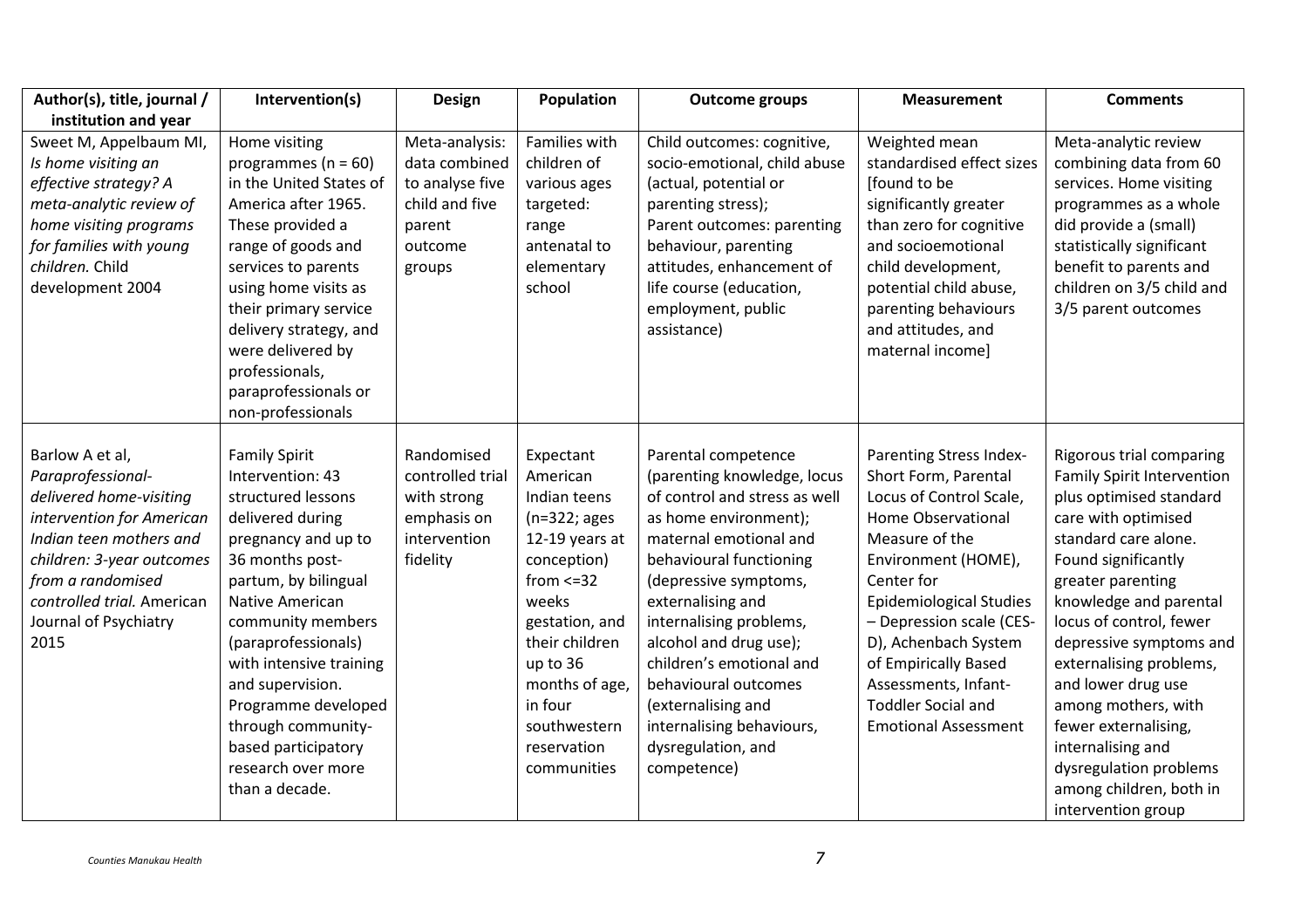| Author(s), title, journal /                                                                                                                                                                                                              | Intervention(s)                                                                                                                                                                                                                                                                                                                                                                | Design                                                                                              | Population                                                                                                                                                                                                                                       | <b>Outcome groups</b>                                                                                                                                                                                                                                                                                                                                                                                            | <b>Measurement</b>                                                                                                                                                                                                                                                                                                                                        | <b>Comments</b>                                                                                                                                                                                                                                                                                                                                                                                                                                                     |
|------------------------------------------------------------------------------------------------------------------------------------------------------------------------------------------------------------------------------------------|--------------------------------------------------------------------------------------------------------------------------------------------------------------------------------------------------------------------------------------------------------------------------------------------------------------------------------------------------------------------------------|-----------------------------------------------------------------------------------------------------|--------------------------------------------------------------------------------------------------------------------------------------------------------------------------------------------------------------------------------------------------|------------------------------------------------------------------------------------------------------------------------------------------------------------------------------------------------------------------------------------------------------------------------------------------------------------------------------------------------------------------------------------------------------------------|-----------------------------------------------------------------------------------------------------------------------------------------------------------------------------------------------------------------------------------------------------------------------------------------------------------------------------------------------------------|---------------------------------------------------------------------------------------------------------------------------------------------------------------------------------------------------------------------------------------------------------------------------------------------------------------------------------------------------------------------------------------------------------------------------------------------------------------------|
| institution and year                                                                                                                                                                                                                     |                                                                                                                                                                                                                                                                                                                                                                                |                                                                                                     |                                                                                                                                                                                                                                                  |                                                                                                                                                                                                                                                                                                                                                                                                                  |                                                                                                                                                                                                                                                                                                                                                           |                                                                                                                                                                                                                                                                                                                                                                                                                                                                     |
| Sweet M, Appelbaum MI,<br>Is home visiting an<br>effective strategy? A<br>meta-analytic review of<br>home visiting programs<br>for families with young<br>children. Child<br>development 2004                                            | Home visiting<br>programmes ( $n = 60$ )<br>in the United States of<br>America after 1965.<br>These provided a<br>range of goods and<br>services to parents<br>using home visits as<br>their primary service<br>delivery strategy, and<br>were delivered by<br>professionals,<br>paraprofessionals or<br>non-professionals                                                     | Meta-analysis:<br>data combined<br>to analyse five<br>child and five<br>parent<br>outcome<br>groups | Families with<br>children of<br>various ages<br>targeted:<br>range<br>antenatal to<br>elementary<br>school                                                                                                                                       | Child outcomes: cognitive,<br>socio-emotional, child abuse<br>(actual, potential or<br>parenting stress);<br>Parent outcomes: parenting<br>behaviour, parenting<br>attitudes, enhancement of<br>life course (education,<br>employment, public<br>assistance)                                                                                                                                                     | Weighted mean<br>standardised effect sizes<br>[found to be<br>significantly greater<br>than zero for cognitive<br>and socioemotional<br>child development,<br>potential child abuse,<br>parenting behaviours<br>and attitudes, and<br>maternal income]                                                                                                    | Meta-analytic review<br>combining data from 60<br>services. Home visiting<br>programmes as a whole<br>did provide a (small)<br>statistically significant<br>benefit to parents and<br>children on 3/5 child and<br>3/5 parent outcomes                                                                                                                                                                                                                              |
| Barlow A et al,<br>Paraprofessional-<br>delivered home-visiting<br>intervention for American<br>Indian teen mothers and<br>children: 3-year outcomes<br>from a randomised<br>controlled trial. American<br>Journal of Psychiatry<br>2015 | <b>Family Spirit</b><br>Intervention: 43<br>structured lessons<br>delivered during<br>pregnancy and up to<br>36 months post-<br>partum, by bilingual<br>Native American<br>community members<br>(paraprofessionals)<br>with intensive training<br>and supervision.<br>Programme developed<br>through community-<br>based participatory<br>research over more<br>than a decade. | Randomised<br>controlled trial<br>with strong<br>emphasis on<br>intervention<br>fidelity            | Expectant<br>American<br>Indian teens<br>$(n=322; ages)$<br>12-19 years at<br>conception)<br>from $\leq$ =32<br>weeks<br>gestation, and<br>their children<br>up to 36<br>months of age,<br>in four<br>southwestern<br>reservation<br>communities | Parental competence<br>(parenting knowledge, locus<br>of control and stress as well<br>as home environment);<br>maternal emotional and<br>behavioural functioning<br>(depressive symptoms,<br>externalising and<br>internalising problems,<br>alcohol and drug use);<br>children's emotional and<br>behavioural outcomes<br>(externalising and<br>internalising behaviours,<br>dysregulation, and<br>competence) | Parenting Stress Index-<br>Short Form, Parental<br>Locus of Control Scale,<br>Home Observational<br>Measure of the<br>Environment (HOME),<br>Center for<br><b>Epidemiological Studies</b><br>- Depression scale (CES-<br>D), Achenbach System<br>of Empirically Based<br>Assessments, Infant-<br><b>Toddler Social and</b><br><b>Emotional Assessment</b> | Rigorous trial comparing<br><b>Family Spirit Intervention</b><br>plus optimised standard<br>care with optimised<br>standard care alone.<br>Found significantly<br>greater parenting<br>knowledge and parental<br>locus of control, fewer<br>depressive symptoms and<br>externalising problems,<br>and lower drug use<br>among mothers, with<br>fewer externalising,<br>internalising and<br>dysregulation problems<br>among children, both in<br>intervention group |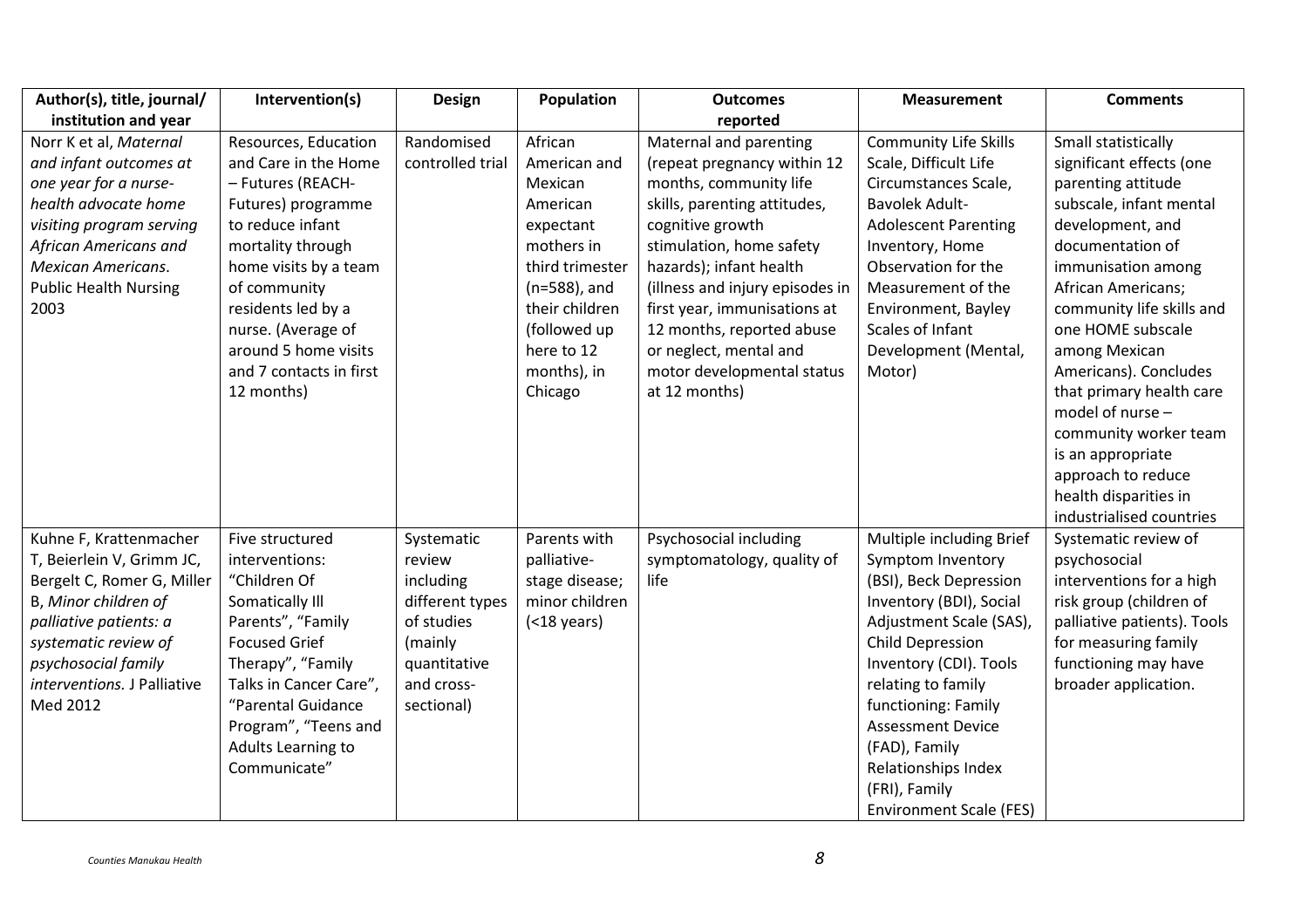| Author(s), title, journal/   | Intervention(s)         | Design           | Population      | <b>Outcomes</b>                 | <b>Measurement</b>             | <b>Comments</b>             |
|------------------------------|-------------------------|------------------|-----------------|---------------------------------|--------------------------------|-----------------------------|
| institution and year         |                         |                  |                 | reported                        |                                |                             |
| Norr K et al, Maternal       | Resources, Education    | Randomised       | African         | Maternal and parenting          | <b>Community Life Skills</b>   | Small statistically         |
| and infant outcomes at       | and Care in the Home    | controlled trial | American and    | (repeat pregnancy within 12     | Scale, Difficult Life          | significant effects (one    |
| one year for a nurse-        | - Futures (REACH-       |                  | Mexican         | months, community life          | Circumstances Scale,           | parenting attitude          |
| health advocate home         | Futures) programme      |                  | American        | skills, parenting attitudes,    | <b>Bavolek Adult-</b>          | subscale, infant mental     |
| visiting program serving     | to reduce infant        |                  | expectant       | cognitive growth                | <b>Adolescent Parenting</b>    | development, and            |
| African Americans and        | mortality through       |                  | mothers in      | stimulation, home safety        | Inventory, Home                | documentation of            |
| <b>Mexican Americans.</b>    | home visits by a team   |                  | third trimester | hazards); infant health         | Observation for the            | immunisation among          |
| <b>Public Health Nursing</b> | of community            |                  | $(n=588)$ , and | (illness and injury episodes in | Measurement of the             | <b>African Americans;</b>   |
| 2003                         | residents led by a      |                  | their children  | first year, immunisations at    | Environment, Bayley            | community life skills and   |
|                              | nurse. (Average of      |                  | (followed up    | 12 months, reported abuse       | Scales of Infant               | one HOME subscale           |
|                              | around 5 home visits    |                  | here to 12      | or neglect, mental and          | Development (Mental,           | among Mexican               |
|                              | and 7 contacts in first |                  | months), in     | motor developmental status      | Motor)                         | Americans). Concludes       |
|                              | 12 months)              |                  | Chicago         | at 12 months)                   |                                | that primary health care    |
|                              |                         |                  |                 |                                 |                                | model of nurse -            |
|                              |                         |                  |                 |                                 |                                | community worker team       |
|                              |                         |                  |                 |                                 |                                | is an appropriate           |
|                              |                         |                  |                 |                                 |                                | approach to reduce          |
|                              |                         |                  |                 |                                 |                                | health disparities in       |
|                              |                         |                  |                 |                                 |                                | industrialised countries    |
| Kuhne F, Krattenmacher       | Five structured         | Systematic       | Parents with    | Psychosocial including          | Multiple including Brief       | Systematic review of        |
| T, Beierlein V, Grimm JC,    | interventions:          | review           | palliative-     | symptomatology, quality of      | Symptom Inventory              | psychosocial                |
| Bergelt C, Romer G, Miller   | "Children Of            | including        | stage disease;  | life                            | (BSI), Beck Depression         | interventions for a high    |
| B, Minor children of         | Somatically Ill         | different types  | minor children  |                                 | Inventory (BDI), Social        | risk group (children of     |
| palliative patients: a       | Parents", "Family       | of studies       | $( < 18$ years) |                                 | Adjustment Scale (SAS),        | palliative patients). Tools |
| systematic review of         | <b>Focused Grief</b>    | (mainly          |                 |                                 | <b>Child Depression</b>        | for measuring family        |
| psychosocial family          | Therapy", "Family       | quantitative     |                 |                                 | Inventory (CDI). Tools         | functioning may have        |
| interventions. J Palliative  | Talks in Cancer Care",  | and cross-       |                 |                                 | relating to family             | broader application.        |
| Med 2012                     | "Parental Guidance      | sectional)       |                 |                                 | functioning: Family            |                             |
|                              | Program", "Teens and    |                  |                 |                                 | <b>Assessment Device</b>       |                             |
|                              | Adults Learning to      |                  |                 |                                 | (FAD), Family                  |                             |
|                              | Communicate"            |                  |                 |                                 | Relationships Index            |                             |
|                              |                         |                  |                 |                                 | (FRI), Family                  |                             |
|                              |                         |                  |                 |                                 | <b>Environment Scale (FES)</b> |                             |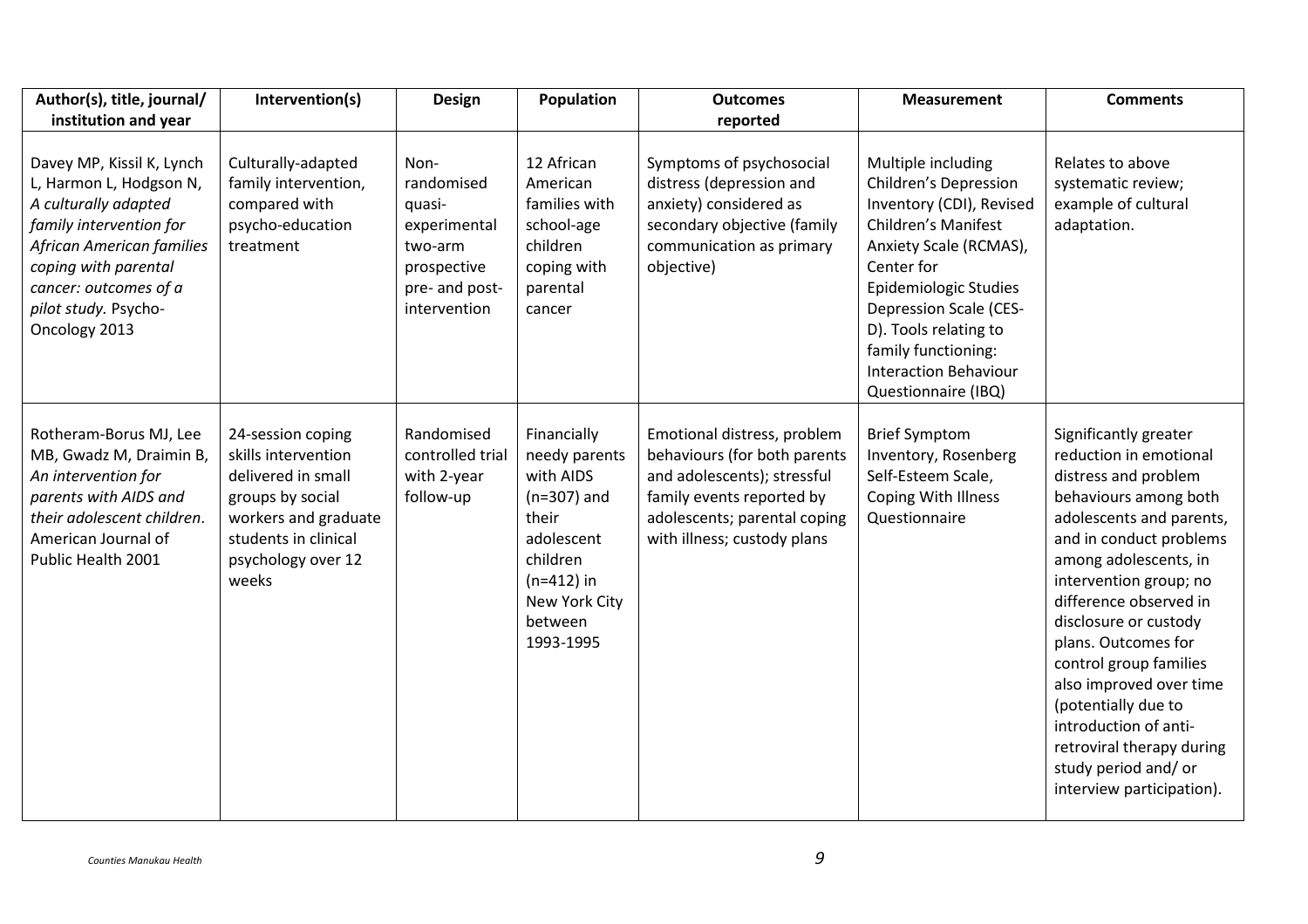| Author(s), title, journal/<br>institution and year                                                                                                                                                                             | Intervention(s)                                                                                                                                                   | Design                                                                                                   | Population                                                                                                                                             | <b>Outcomes</b><br>reported                                                                                                                                                            | <b>Measurement</b>                                                                                                                                                                                                                                                                                                    | <b>Comments</b>                                                                                                                                                                                                                                                                                                                                                                                                                                                             |
|--------------------------------------------------------------------------------------------------------------------------------------------------------------------------------------------------------------------------------|-------------------------------------------------------------------------------------------------------------------------------------------------------------------|----------------------------------------------------------------------------------------------------------|--------------------------------------------------------------------------------------------------------------------------------------------------------|----------------------------------------------------------------------------------------------------------------------------------------------------------------------------------------|-----------------------------------------------------------------------------------------------------------------------------------------------------------------------------------------------------------------------------------------------------------------------------------------------------------------------|-----------------------------------------------------------------------------------------------------------------------------------------------------------------------------------------------------------------------------------------------------------------------------------------------------------------------------------------------------------------------------------------------------------------------------------------------------------------------------|
| Davey MP, Kissil K, Lynch<br>L, Harmon L, Hodgson N,<br>A culturally adapted<br>family intervention for<br>African American families<br>coping with parental<br>cancer: outcomes of a<br>pilot study. Psycho-<br>Oncology 2013 | Culturally-adapted<br>family intervention,<br>compared with<br>psycho-education<br>treatment                                                                      | Non-<br>randomised<br>quasi-<br>experimental<br>two-arm<br>prospective<br>pre- and post-<br>intervention | 12 African<br>American<br>families with<br>school-age<br>children<br>coping with<br>parental<br>cancer                                                 | Symptoms of psychosocial<br>distress (depression and<br>anxiety) considered as<br>secondary objective (family<br>communication as primary<br>objective)                                | Multiple including<br><b>Children's Depression</b><br>Inventory (CDI), Revised<br><b>Children's Manifest</b><br>Anxiety Scale (RCMAS),<br>Center for<br>Epidemiologic Studies<br><b>Depression Scale (CES-</b><br>D). Tools relating to<br>family functioning:<br><b>Interaction Behaviour</b><br>Questionnaire (IBQ) | Relates to above<br>systematic review;<br>example of cultural<br>adaptation.                                                                                                                                                                                                                                                                                                                                                                                                |
| Rotheram-Borus MJ, Lee<br>MB, Gwadz M, Draimin B,<br>An intervention for<br>parents with AIDS and<br>their adolescent children.<br>American Journal of<br>Public Health 2001                                                   | 24-session coping<br>skills intervention<br>delivered in small<br>groups by social<br>workers and graduate<br>students in clinical<br>psychology over 12<br>weeks | Randomised<br>controlled trial<br>with 2-year<br>follow-up                                               | Financially<br>needy parents<br>with AIDS<br>$(n=307)$ and<br>their<br>adolescent<br>children<br>$(n=412)$ in<br>New York City<br>between<br>1993-1995 | Emotional distress, problem<br>behaviours (for both parents<br>and adolescents); stressful<br>family events reported by<br>adolescents; parental coping<br>with illness; custody plans | <b>Brief Symptom</b><br>Inventory, Rosenberg<br>Self-Esteem Scale,<br>Coping With Illness<br>Questionnaire                                                                                                                                                                                                            | Significantly greater<br>reduction in emotional<br>distress and problem<br>behaviours among both<br>adolescents and parents,<br>and in conduct problems<br>among adolescents, in<br>intervention group; no<br>difference observed in<br>disclosure or custody<br>plans. Outcomes for<br>control group families<br>also improved over time<br>(potentially due to<br>introduction of anti-<br>retroviral therapy during<br>study period and/ or<br>interview participation). |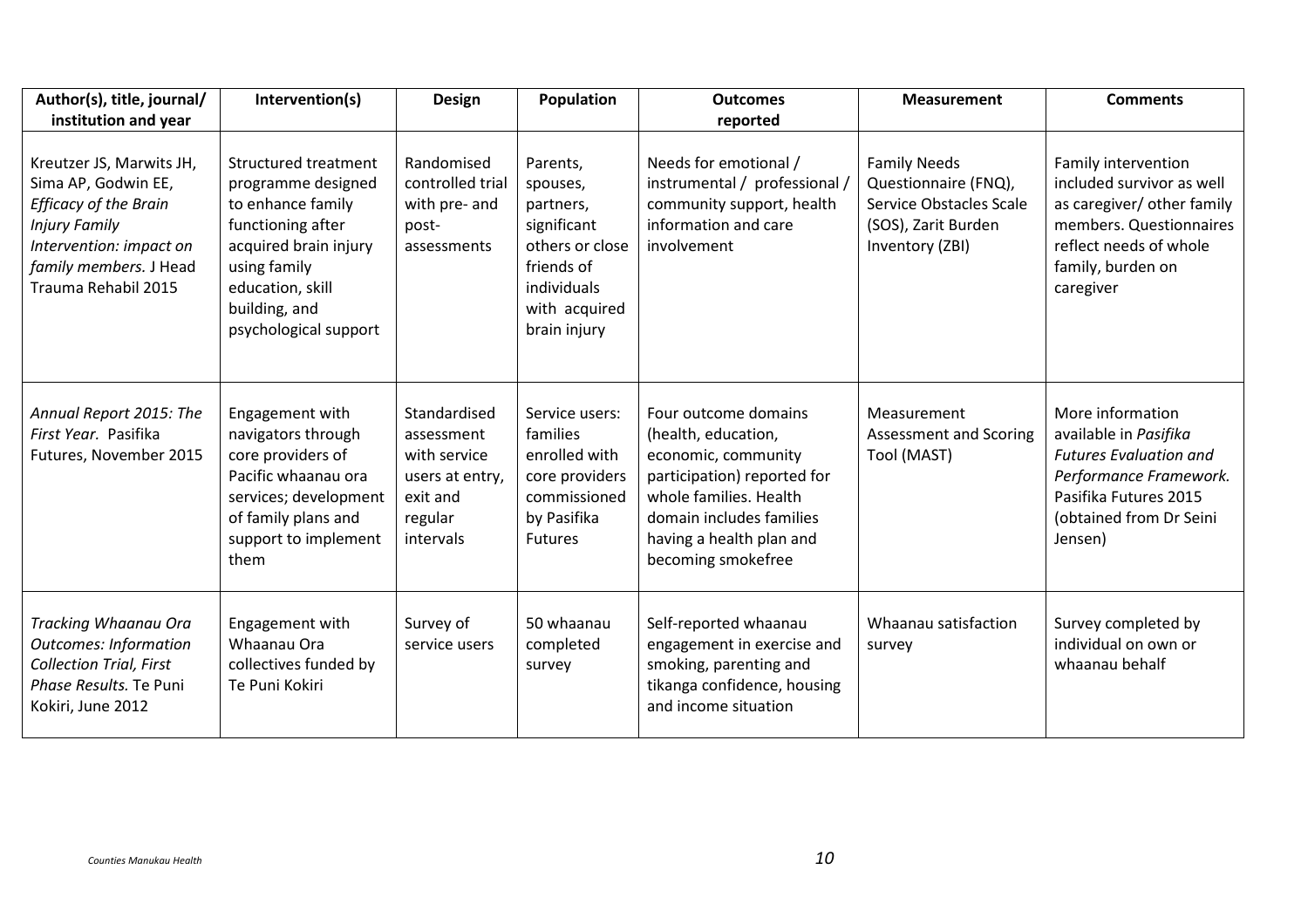| Author(s), title, journal/<br>institution and year                                                                                                                                  | Intervention(s)                                                                                                                                                                                    | Design                                                                                            | Population                                                                                                                        | <b>Outcomes</b><br>reported                                                                                                                                                                               | <b>Measurement</b>                                                                                               | <b>Comments</b>                                                                                                                                                       |
|-------------------------------------------------------------------------------------------------------------------------------------------------------------------------------------|----------------------------------------------------------------------------------------------------------------------------------------------------------------------------------------------------|---------------------------------------------------------------------------------------------------|-----------------------------------------------------------------------------------------------------------------------------------|-----------------------------------------------------------------------------------------------------------------------------------------------------------------------------------------------------------|------------------------------------------------------------------------------------------------------------------|-----------------------------------------------------------------------------------------------------------------------------------------------------------------------|
| Kreutzer JS, Marwits JH,<br>Sima AP, Godwin EE,<br><b>Efficacy of the Brain</b><br><b>Injury Family</b><br>Intervention: impact on<br>family members. J Head<br>Trauma Rehabil 2015 | <b>Structured treatment</b><br>programme designed<br>to enhance family<br>functioning after<br>acquired brain injury<br>using family<br>education, skill<br>building, and<br>psychological support | Randomised<br>controlled trial<br>with pre- and<br>post-<br>assessments                           | Parents,<br>spouses,<br>partners,<br>significant<br>others or close<br>friends of<br>individuals<br>with acquired<br>brain injury | Needs for emotional /<br>instrumental / professional /<br>community support, health<br>information and care<br>involvement                                                                                | <b>Family Needs</b><br>Questionnaire (FNQ),<br>Service Obstacles Scale<br>(SOS), Zarit Burden<br>Inventory (ZBI) | Family intervention<br>included survivor as well<br>as caregiver/ other family<br>members. Questionnaires<br>reflect needs of whole<br>family, burden on<br>caregiver |
| Annual Report 2015: The<br>First Year. Pasifika<br>Futures, November 2015                                                                                                           | Engagement with<br>navigators through<br>core providers of<br>Pacific whaanau ora<br>services; development<br>of family plans and<br>support to implement<br>them                                  | Standardised<br>assessment<br>with service<br>users at entry,<br>exit and<br>regular<br>intervals | Service users:<br>families<br>enrolled with<br>core providers<br>commissioned<br>by Pasifika<br><b>Futures</b>                    | Four outcome domains<br>(health, education,<br>economic, community<br>participation) reported for<br>whole families. Health<br>domain includes families<br>having a health plan and<br>becoming smokefree | Measurement<br><b>Assessment and Scoring</b><br>Tool (MAST)                                                      | More information<br>available in Pasifika<br><b>Futures Evaluation and</b><br>Performance Framework.<br>Pasifika Futures 2015<br>(obtained from Dr Seini<br>Jensen)   |
| Tracking Whaanau Ora<br><b>Outcomes: Information</b><br><b>Collection Trial, First</b><br>Phase Results. Te Puni<br>Kokiri, June 2012                                               | Engagement with<br>Whaanau Ora<br>collectives funded by<br>Te Puni Kokiri                                                                                                                          | Survey of<br>service users                                                                        | 50 whaanau<br>completed<br>survey                                                                                                 | Self-reported whaanau<br>engagement in exercise and<br>smoking, parenting and<br>tikanga confidence, housing<br>and income situation                                                                      | Whaanau satisfaction<br>survey                                                                                   | Survey completed by<br>individual on own or<br>whaanau behalf                                                                                                         |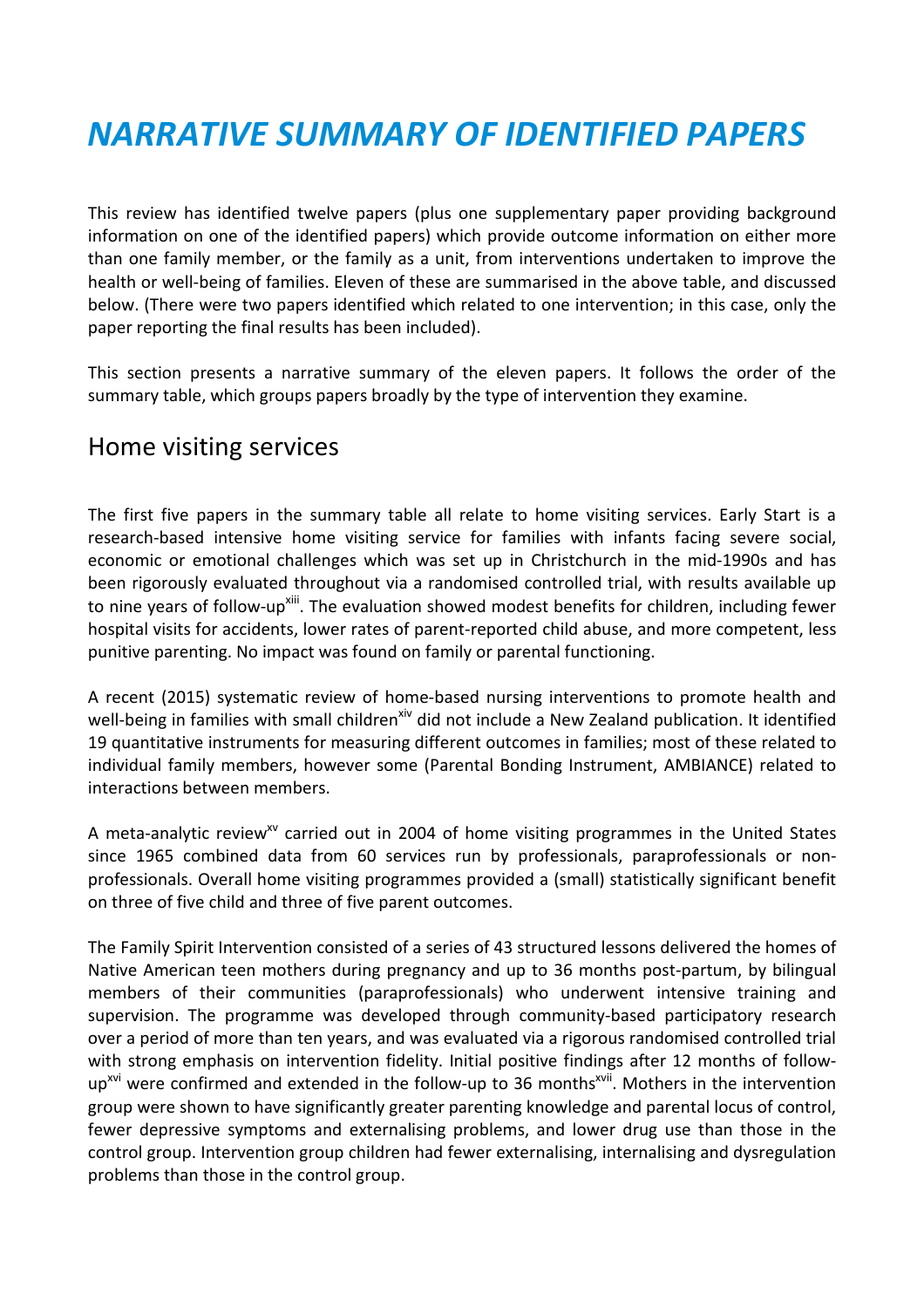# *NARRATIVE SUMMARY OF IDENTIFIED PAPERS*

This review has identified twelve papers (plus one supplementary paper providing background information on one of the identified papers) which provide outcome information on either more than one family member, or the family as a unit, from interventions undertaken to improve the health or well-being of families. Eleven of these are summarised in the above table, and discussed below. (There were two papers identified which related to one intervention; in this case, only the paper reporting the final results has been included).

This section presents a narrative summary of the eleven papers. It follows the order of the summary table, which groups papers broadly by the type of intervention they examine.

#### Home visiting services

The first five papers in the summary table all relate to home visiting services. Early Start is a research-based intensive home visiting service for families with infants facing severe social, economic or emotional challenges which was set up in Christchurch in the mid-1990s and has been rigorously evaluated throughout via a randomised controlled trial, with results available up to nine years of follow-up<sup>xiii</sup>. The evaluation showed modest benefits for children, including fewer hospital visits for accidents, lower rates of parent-reported child abuse, and more competent, less punitive parenting. No impact was found on family or parental functioning.

A recent (2015) systematic review of home-based nursing interventions to promote health and well-being in families with small children<sup>xiv</sup> did not include a New Zealand publication. It identified 19 quantitative instruments for measuring different outcomes in families; most of these related to individual family members, however some (Parental Bonding Instrument, AMBIANCE) related to interactions between members.

A meta-analytic review<sup>xv</sup> carried out in 2004 of home visiting programmes in the United States since 1965 combined data from 60 services run by professionals, paraprofessionals or nonprofessionals. Overall home visiting programmes provided a (small) statistically significant benefit on three of five child and three of five parent outcomes.

The Family Spirit Intervention consisted of a series of 43 structured lessons delivered the homes of Native American teen mothers during pregnancy and up to 36 months post-partum, by bilingual members of their communities (paraprofessionals) who underwent intensive training and supervision. The programme was developed through community-based participatory research over a period of more than ten years, and was evaluated via a rigorous randomised controlled trial with strong emphasis on intervention fidelity. Initial positive findings after 12 months of follow $up^{xvi}$  were confirmed and extended in the follow-up to 36 months<sup> $xvii$ </sup>. Mothers in the intervention group were shown to have significantly greater parenting knowledge and parental locus of control, fewer depressive symptoms and externalising problems, and lower drug use than those in the control group. Intervention group children had fewer externalising, internalising and dysregulation problems than those in the control group.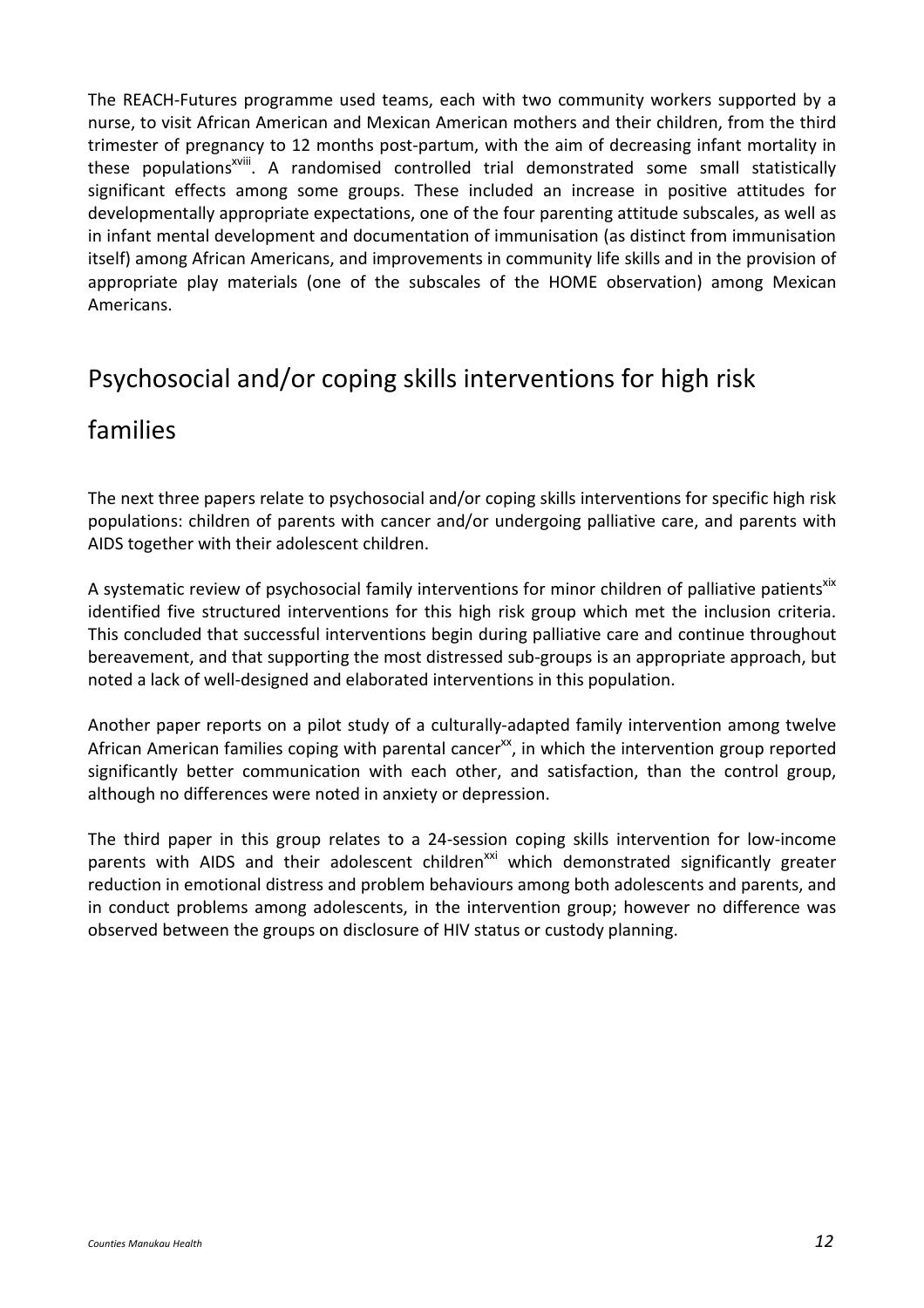The REACH-Futures programme used teams, each with two community workers supported by a nurse, to visit African American and Mexican American mothers and their children, from the third trimester of pregnancy to 12 months post-partum, with the aim of decreasing infant mortality in these populations<sup>xviii</sup>. A randomised controlled trial demonstrated some small statistically significant effects among some groups. These included an increase in positive attitudes for developmentally appropriate expectations, one of the four parenting attitude subscales, as well as in infant mental development and documentation of immunisation (as distinct from immunisation itself) among African Americans, and improvements in community life skills and in the provision of appropriate play materials (one of the subscales of the HOME observation) among Mexican Americans.

#### Psychosocial and/or coping skills interventions for high risk

#### families

The next three papers relate to psychosocial and/or coping skills interventions for specific high risk populations: children of parents with cancer and/or undergoing palliative care, and parents with AIDS together with their adolescent children.

A systematic review of psychosocial family interventions for minor children of palliative patients<sup>xix</sup> identified five structured interventions for this high risk group which met the inclusion criteria. This concluded that successful interventions begin during palliative care and continue throughout bereavement, and that supporting the most distressed sub-groups is an appropriate approach, but noted a lack of well-designed and elaborated interventions in this population.

Another paper reports on a pilot study of a culturally-adapted family intervention among twelve African American families coping with parental cancer<sup>xx</sup>, in which the intervention group reported significantly better communication with each other, and satisfaction, than the control group, although no differences were noted in anxiety or depression.

The third paper in this group relates to a 24-session coping skills intervention for low-income parents with AIDS and their adolescent children<sup>xxi</sup> which demonstrated significantly greater reduction in emotional distress and problem behaviours among both adolescents and parents, and in conduct problems among adolescents, in the intervention group; however no difference was observed between the groups on disclosure of HIV status or custody planning.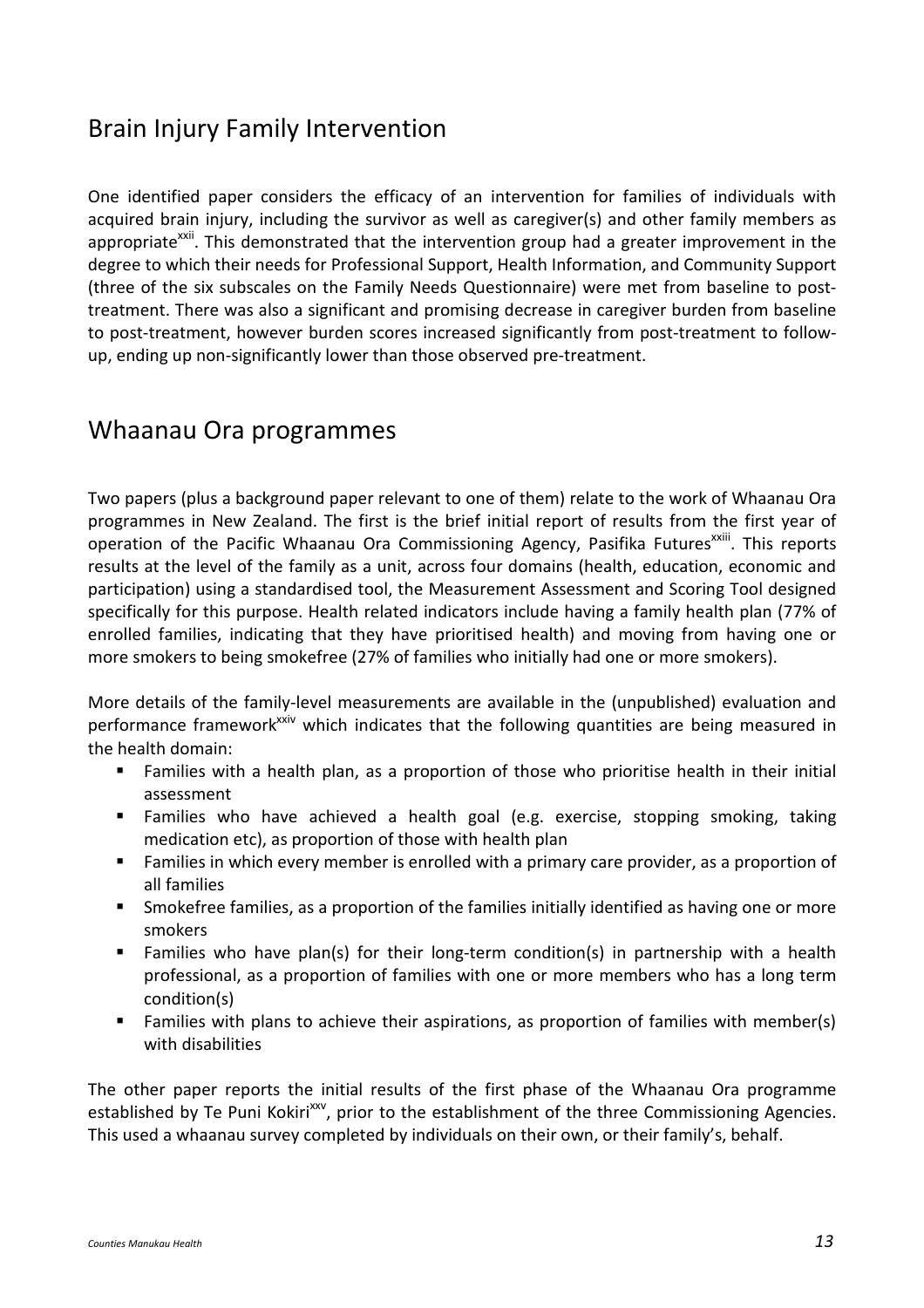#### Brain Injury Family Intervention

One identified paper considers the efficacy of an intervention for families of individuals with acquired brain injury, including the survivor as well as caregiver(s) and other family members as appropriate<sup>xxii</sup>. This demonstrated that the intervention group had a greater improvement in the degree to which their needs for Professional Support, Health Information, and Community Support (three of the six subscales on the Family Needs Questionnaire) were met from baseline to posttreatment. There was also a significant and promising decrease in caregiver burden from baseline to post-treatment, however burden scores increased significantly from post-treatment to followup, ending up non-significantly lower than those observed pre-treatment.

#### Whaanau Ora programmes

Two papers (plus a background paper relevant to one of them) relate to the work of Whaanau Ora programmes in New Zealand. The first is the brief initial report of results from the first year of operation of the Pacific Whaanau Ora Commissioning Agency, Pasifika Futures<sup>xxiii</sup>. This reports results at the level of the family as a unit, across four domains (health, education, economic and participation) using a standardised tool, the Measurement Assessment and Scoring Tool designed specifically for this purpose. Health related indicators include having a family health plan (77% of enrolled families, indicating that they have prioritised health) and moving from having one or more smokers to being smokefree (27% of families who initially had one or more smokers).

More details of the family-level measurements are available in the (unpublished) evaluation and performance framework<sup>xxiv</sup> which indicates that the following quantities are being measured in the health domain:

- Families with a health plan, as a proportion of those who prioritise health in their initial assessment
- Families who have achieved a health goal (e.g. exercise, stopping smoking, taking medication etc), as proportion of those with health plan
- Families in which every member is enrolled with a primary care provider, as a proportion of all families
- Smokefree families, as a proportion of the families initially identified as having one or more smokers
- Families who have plan(s) for their long-term condition(s) in partnership with a health professional, as a proportion of families with one or more members who has a long term condition(s)
- Families with plans to achieve their aspirations, as proportion of families with member(s) with disabilities

The other paper reports the initial results of the first phase of the Whaanau Ora programme established by Te Puni Kokiri<sup>xxv</sup>, prior to the establishment of the three Commissioning Agencies. This used a whaanau survey completed by individuals on their own, or their family's, behalf.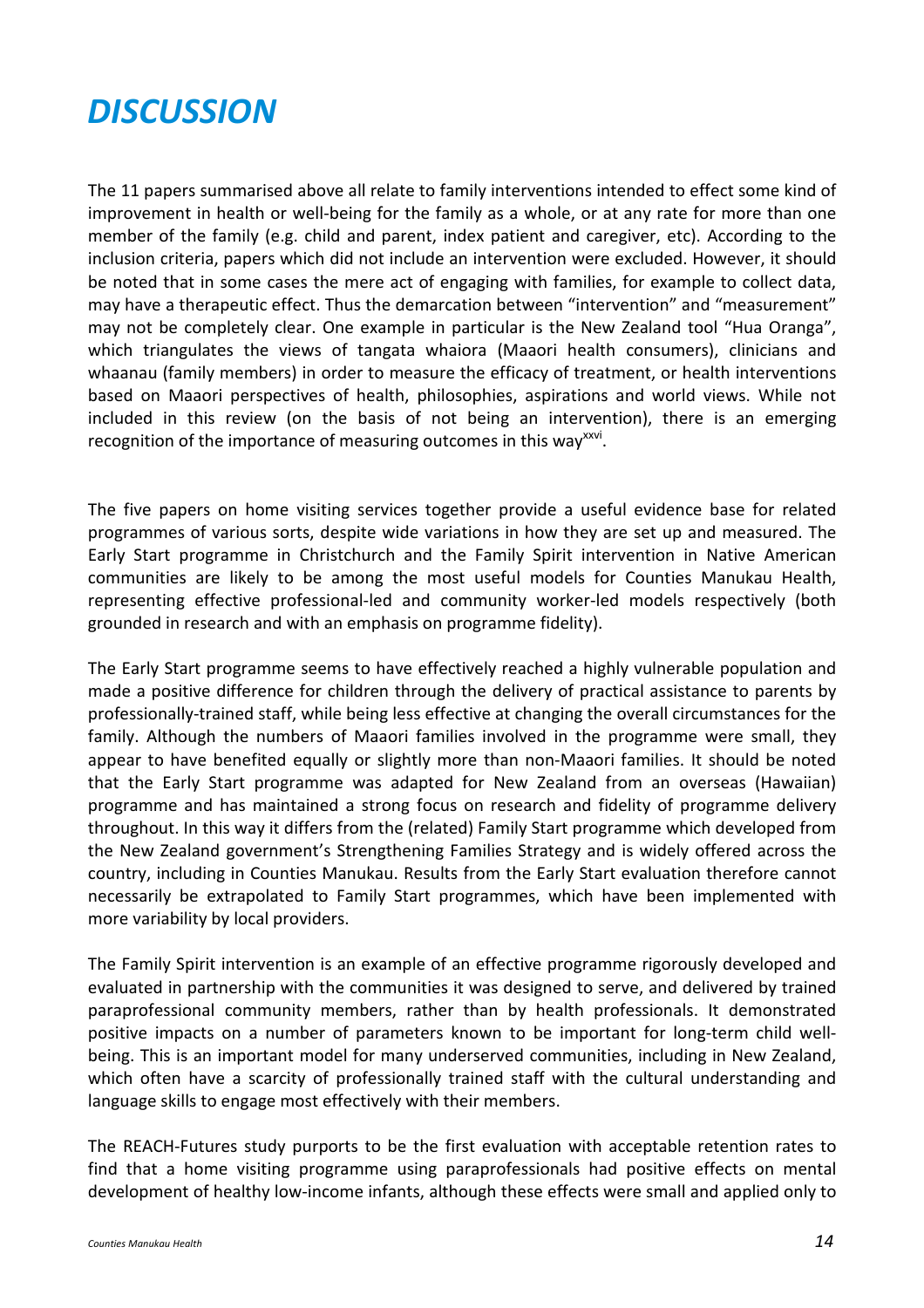# *DISCUSSION*

The 11 papers summarised above all relate to family interventions intended to effect some kind of improvement in health or well-being for the family as a whole, or at any rate for more than one member of the family (e.g. child and parent, index patient and caregiver, etc). According to the inclusion criteria, papers which did not include an intervention were excluded. However, it should be noted that in some cases the mere act of engaging with families, for example to collect data, may have a therapeutic effect. Thus the demarcation between "intervention" and "measurement" may not be completely clear. One example in particular is the New Zealand tool "Hua Oranga", which triangulates the views of tangata whaiora (Maaori health consumers), clinicians and whaanau (family members) in order to measure the efficacy of treatment, or health interventions based on Maaori perspectives of health, philosophies, aspirations and world views. While not included in this review (on the basis of not being an intervention), there is an emerging recognition of the importance of measuring outcomes in this way<sup>xxvi</sup>.

The five papers on home visiting services together provide a useful evidence base for related programmes of various sorts, despite wide variations in how they are set up and measured. The Early Start programme in Christchurch and the Family Spirit intervention in Native American communities are likely to be among the most useful models for Counties Manukau Health, representing effective professional-led and community worker-led models respectively (both grounded in research and with an emphasis on programme fidelity).

The Early Start programme seems to have effectively reached a highly vulnerable population and made a positive difference for children through the delivery of practical assistance to parents by professionally-trained staff, while being less effective at changing the overall circumstances for the family. Although the numbers of Maaori families involved in the programme were small, they appear to have benefited equally or slightly more than non-Maaori families. It should be noted that the Early Start programme was adapted for New Zealand from an overseas (Hawaiian) programme and has maintained a strong focus on research and fidelity of programme delivery throughout. In this way it differs from the (related) Family Start programme which developed from the New Zealand government's Strengthening Families Strategy and is widely offered across the country, including in Counties Manukau. Results from the Early Start evaluation therefore cannot necessarily be extrapolated to Family Start programmes, which have been implemented with more variability by local providers.

The Family Spirit intervention is an example of an effective programme rigorously developed and evaluated in partnership with the communities it was designed to serve, and delivered by trained paraprofessional community members, rather than by health professionals. It demonstrated positive impacts on a number of parameters known to be important for long-term child wellbeing. This is an important model for many underserved communities, including in New Zealand, which often have a scarcity of professionally trained staff with the cultural understanding and language skills to engage most effectively with their members.

The REACH-Futures study purports to be the first evaluation with acceptable retention rates to find that a home visiting programme using paraprofessionals had positive effects on mental development of healthy low-income infants, although these effects were small and applied only to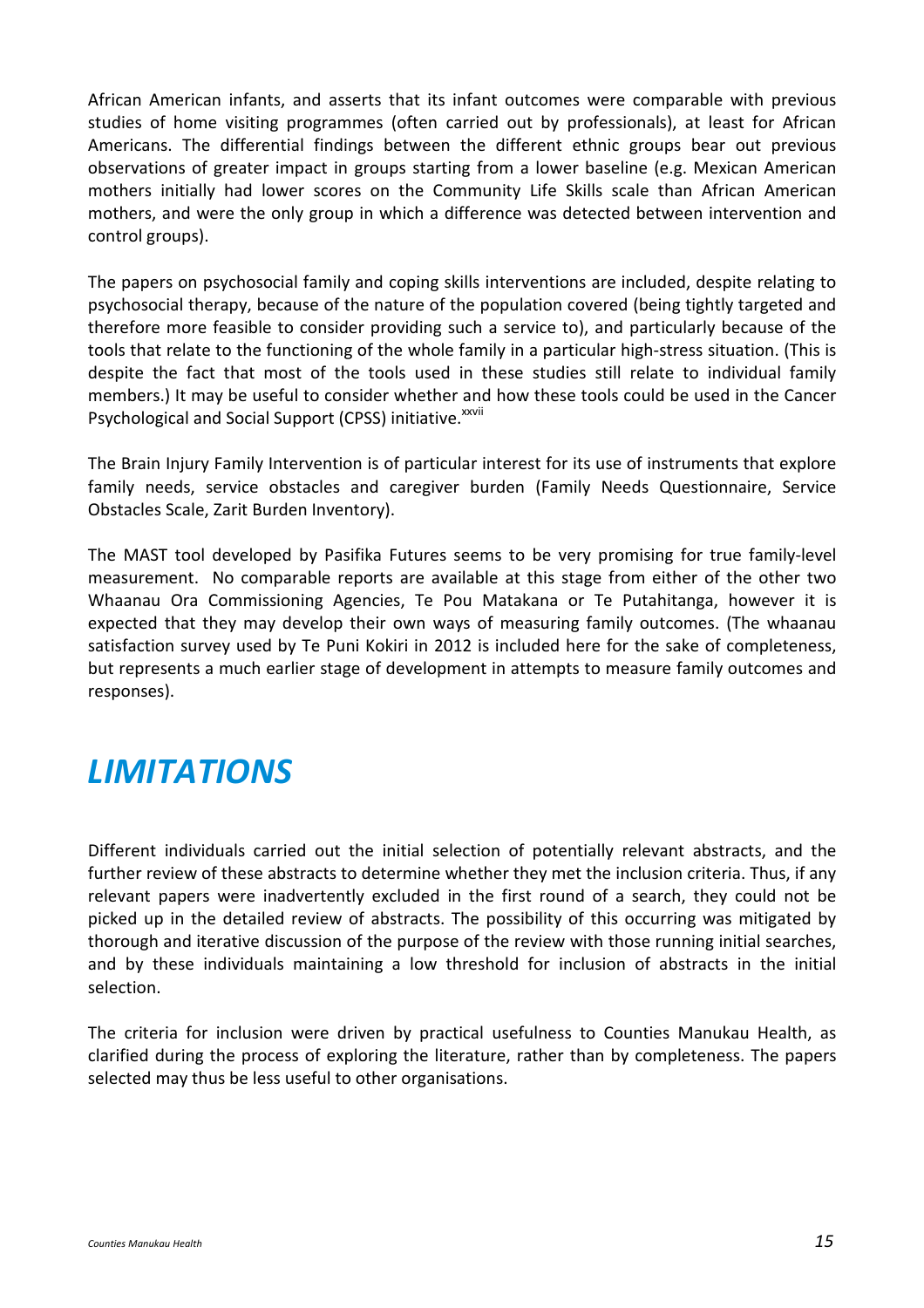African American infants, and asserts that its infant outcomes were comparable with previous studies of home visiting programmes (often carried out by professionals), at least for African Americans. The differential findings between the different ethnic groups bear out previous observations of greater impact in groups starting from a lower baseline (e.g. Mexican American mothers initially had lower scores on the Community Life Skills scale than African American mothers, and were the only group in which a difference was detected between intervention and control groups).

The papers on psychosocial family and coping skills interventions are included, despite relating to psychosocial therapy, because of the nature of the population covered (being tightly targeted and therefore more feasible to consider providing such a service to), and particularly because of the tools that relate to the functioning of the whole family in a particular high-stress situation. (This is despite the fact that most of the tools used in these studies still relate to individual family members.) It may be useful to consider whether and how these tools could be used in the Cancer Psychological and Social Support (CPSS) initiative.<sup>xxvii</sup>

The Brain Injury Family Intervention is of particular interest for its use of instruments that explore family needs, service obstacles and caregiver burden (Family Needs Questionnaire, Service Obstacles Scale, Zarit Burden Inventory).

The MAST tool developed by Pasifika Futures seems to be very promising for true family-level measurement. No comparable reports are available at this stage from either of the other two Whaanau Ora Commissioning Agencies, Te Pou Matakana or Te Putahitanga, however it is expected that they may develop their own ways of measuring family outcomes. (The whaanau satisfaction survey used by Te Puni Kokiri in 2012 is included here for the sake of completeness, but represents a much earlier stage of development in attempts to measure family outcomes and responses).

### *LIMITATIONS*

Different individuals carried out the initial selection of potentially relevant abstracts, and the further review of these abstracts to determine whether they met the inclusion criteria. Thus, if any relevant papers were inadvertently excluded in the first round of a search, they could not be picked up in the detailed review of abstracts. The possibility of this occurring was mitigated by thorough and iterative discussion of the purpose of the review with those running initial searches, and by these individuals maintaining a low threshold for inclusion of abstracts in the initial selection.

The criteria for inclusion were driven by practical usefulness to Counties Manukau Health, as clarified during the process of exploring the literature, rather than by completeness. The papers selected may thus be less useful to other organisations.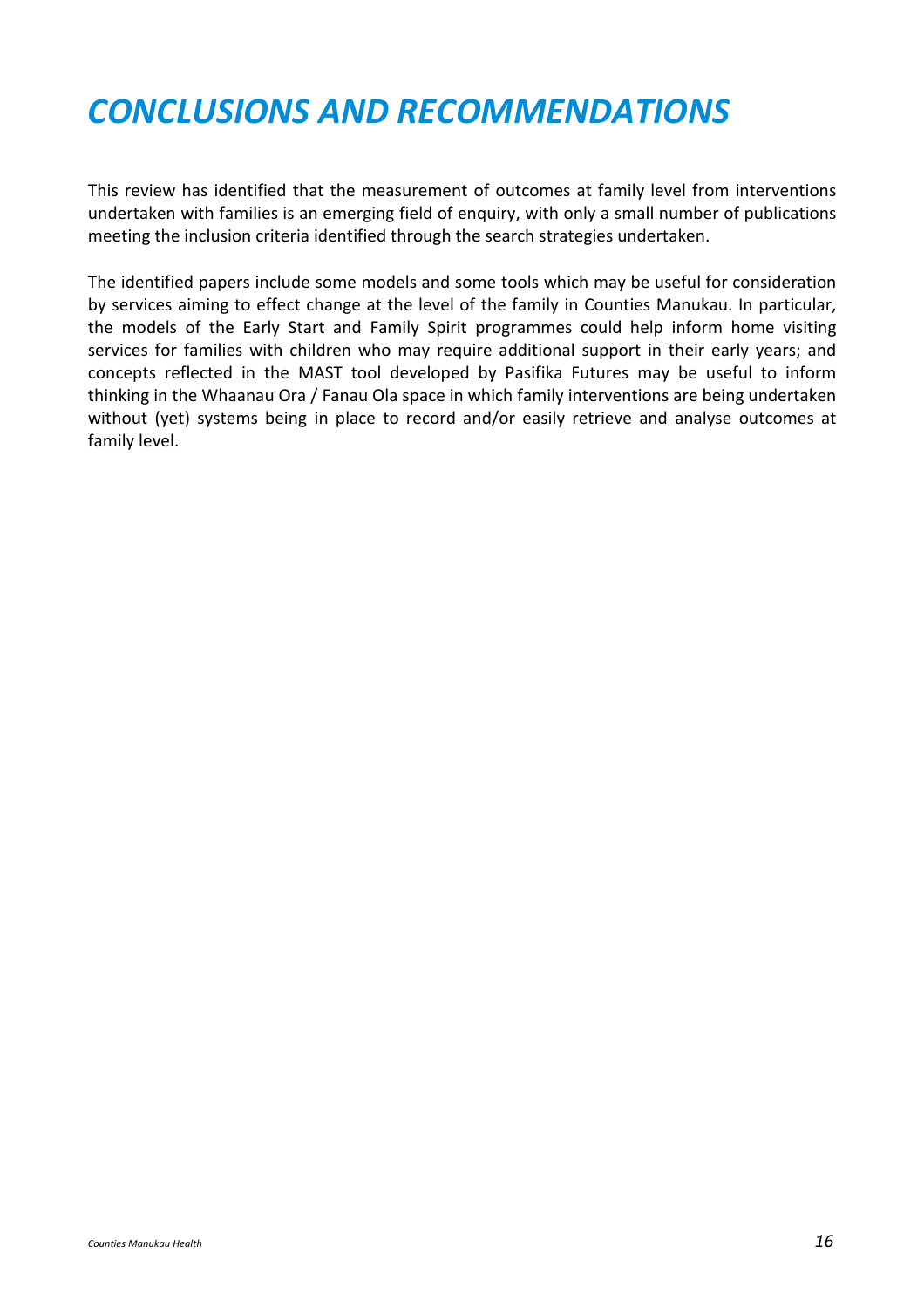# *CONCLUSIONS AND RECOMMENDATIONS*

This review has identified that the measurement of outcomes at family level from interventions undertaken with families is an emerging field of enquiry, with only a small number of publications meeting the inclusion criteria identified through the search strategies undertaken.

The identified papers include some models and some tools which may be useful for consideration by services aiming to effect change at the level of the family in Counties Manukau. In particular, the models of the Early Start and Family Spirit programmes could help inform home visiting services for families with children who may require additional support in their early years; and concepts reflected in the MAST tool developed by Pasifika Futures may be useful to inform thinking in the Whaanau Ora / Fanau Ola space in which family interventions are being undertaken without (yet) systems being in place to record and/or easily retrieve and analyse outcomes at family level.